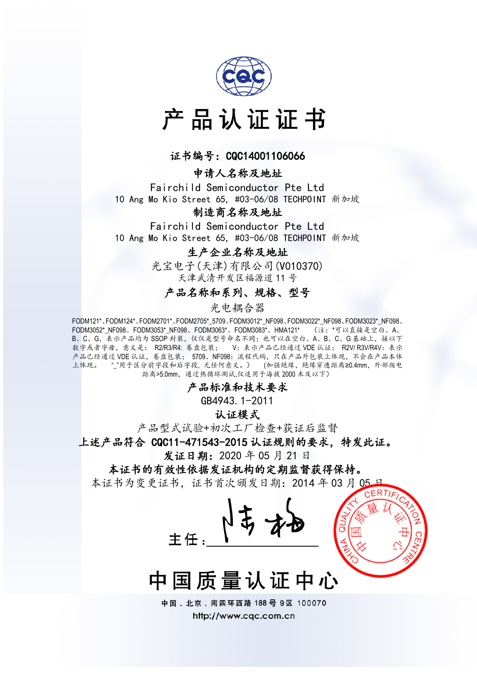

# 产品认证证书

#### 证书编号: CQC14001106066

#### 申请人名称及地址

Fairchild Semiconductor Pte Ltd 10 Ang Mo Kio Street 65, #03-06/08 TECHPOINT 新加坡

#### 制造商名称及地址

Fairchild Semiconductor Pte Ltd 10 Ang Mo Kio Street 65, #03-06/08 TECHPOINT 新加坡

#### 生产企业名称及地址

光宝电子(天津)有限公司(V010370) 天津武清开发区福源道 11 号

#### 产品名称和系列、规格、型号

光电耦合器

FODM121\*、FODM124\*、FODM2701\*、FODM2705\*\_5709、FODM3012\*\_NF098、FODM3022\*\_NF098、FODM3023\*\_NF098、 FODM3052\*\_NF098、FODM3053\*\_NF098、FODM3063\*、FODM3083\*、HMA121\* (注:\*可以直接是空白、A、 B、C、G,表示产品均为 SSOP 封装,仅仅是型号命名不同;也可以在空白、A、B、C、G基础上,接以下 数字或者字母, 意义是: R2/R3/R4: 卷盘包装; V: 表示产品已经通过 VDE 认证; R2V/ R3V/R4V: 表示 产品已经通过 VDE 认证,卷盘包装; 5709、NF098:流程代码,只在产品外包装上体现,不会在产品本体 上体现。 ""用于区分前字段和后字段, 无任何意义。) (加强绝缘, 绝缘穿透距离≥0.4mm, 外部爬电 距离>5.0mm,通过热循环测试,仅适用于海拔 2000 米及以下)

产品标准和技术要求

GB4943.1-2011

认证模式

产品型式试验+初次工厂检查+获证后监督

上述产品符合 CQC11-471543-2015 认证规则的要求,特发此证。

发证日期:2020 年 05 月 21 日

本证书的有效性依据发证机构的定期监督获得保持。

本证书为变更证书,证书首次颁发日期: 2014年03月05





中国. 北京. 南四环西路 188号 9区 100070 http://www.cqc.com.cn